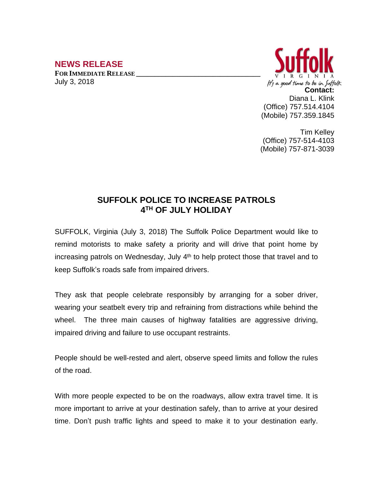## **NEWS RELEASE**

**FOR IMMEDIATE RELEASE \_\_\_\_\_\_\_\_\_\_\_\_\_\_\_\_\_\_\_\_\_\_\_\_\_\_\_\_\_\_\_\_\_\_** July 3, 2018



Tim Kelley (Office) 757-514-4103 (Mobile) 757-871-3039

## **SUFFOLK POLICE TO INCREASE PATROLS 4 TH OF JULY HOLIDAY**

SUFFOLK, Virginia (July 3, 2018) The Suffolk Police Department would like to remind motorists to make safety a priority and will drive that point home by increasing patrols on Wednesday, July 4<sup>th</sup> to help protect those that travel and to keep Suffolk's roads safe from impaired drivers.

They ask that people celebrate responsibly by arranging for a sober driver, wearing your seatbelt every trip and refraining from distractions while behind the wheel. The three main causes of highway fatalities are aggressive driving, impaired driving and failure to use occupant restraints.

People should be well-rested and alert, observe speed limits and follow the rules of the road.

With more people expected to be on the roadways, allow extra travel time. It is more important to arrive at your destination safely, than to arrive at your desired time. Don't push traffic lights and speed to make it to your destination early.